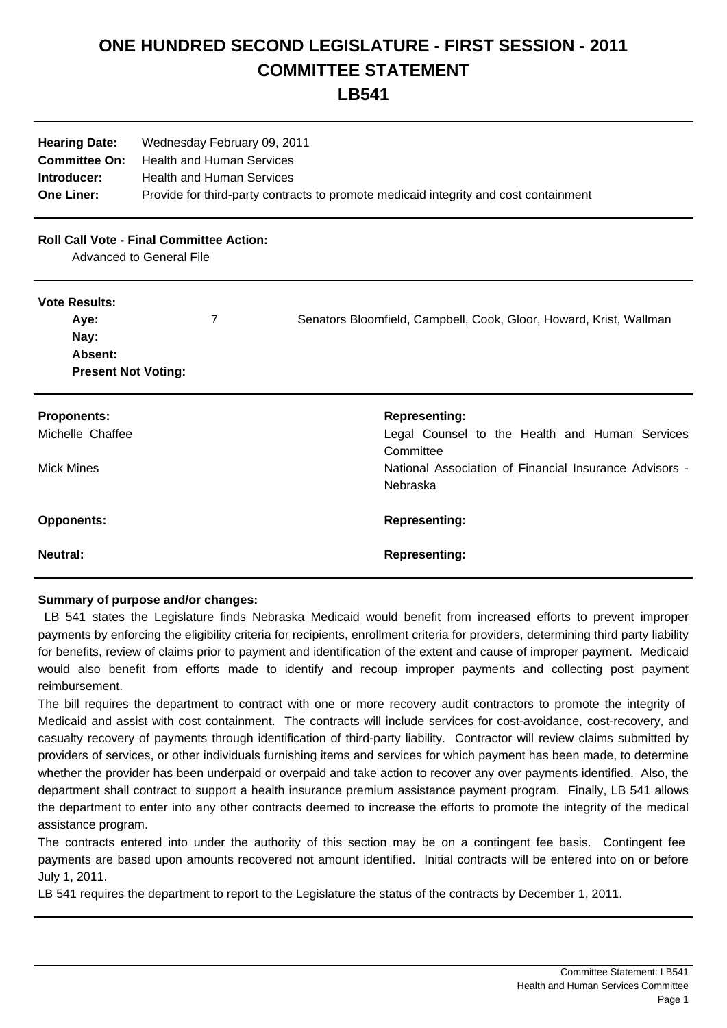## **ONE HUNDRED SECOND LEGISLATURE - FIRST SESSION - 2011 COMMITTEE STATEMENT**

**LB541**

| <b>Hearing Date:</b><br><b>Committee On:</b><br>Introducer:<br><b>One Liner:</b> | Wednesday February 09, 2011<br><b>Health and Human Services</b><br><b>Health and Human Services</b> | Provide for third-party contracts to promote medicaid integrity and cost containment                                                                      |
|----------------------------------------------------------------------------------|-----------------------------------------------------------------------------------------------------|-----------------------------------------------------------------------------------------------------------------------------------------------------------|
| <b>Roll Call Vote - Final Committee Action:</b><br>Advanced to General File      |                                                                                                     |                                                                                                                                                           |
| <b>Vote Results:</b><br>Aye:<br>Nay:<br>Absent:<br><b>Present Not Voting:</b>    | 7                                                                                                   | Senators Bloomfield, Campbell, Cook, Gloor, Howard, Krist, Wallman                                                                                        |
| <b>Proponents:</b><br>Michelle Chaffee<br><b>Mick Mines</b>                      |                                                                                                     | <b>Representing:</b><br>Legal Counsel to the Health and Human Services<br>Committee<br>National Association of Financial Insurance Advisors -<br>Nebraska |
| <b>Opponents:</b>                                                                |                                                                                                     | <b>Representing:</b>                                                                                                                                      |
| <b>Neutral:</b>                                                                  |                                                                                                     | <b>Representing:</b>                                                                                                                                      |

## **Summary of purpose and/or changes:**

 LB 541 states the Legislature finds Nebraska Medicaid would benefit from increased efforts to prevent improper payments by enforcing the eligibility criteria for recipients, enrollment criteria for providers, determining third party liability for benefits, review of claims prior to payment and identification of the extent and cause of improper payment. Medicaid would also benefit from efforts made to identify and recoup improper payments and collecting post payment reimbursement.

 The bill requires the department to contract with one or more recovery audit contractors to promote the integrity of Medicaid and assist with cost containment. The contracts will include services for cost-avoidance, cost-recovery, and casualty recovery of payments through identification of third-party liability. Contractor will review claims submitted by providers of services, or other individuals furnishing items and services for which payment has been made, to determine whether the provider has been underpaid or overpaid and take action to recover any over payments identified. Also, the department shall contract to support a health insurance premium assistance payment program. Finally, LB 541 allows the department to enter into any other contracts deemed to increase the efforts to promote the integrity of the medical assistance program.

 The contracts entered into under the authority of this section may be on a contingent fee basis. Contingent fee payments are based upon amounts recovered not amount identified. Initial contracts will be entered into on or before July 1, 2011.

LB 541 requires the department to report to the Legislature the status of the contracts by December 1, 2011.